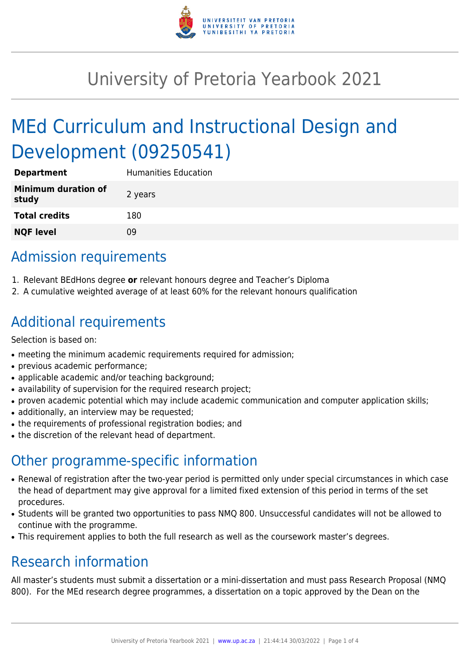

# University of Pretoria Yearbook 2021

# MEd Curriculum and Instructional Design and Development (09250541)

| <b>Department</b>            | <b>Humanities Education</b> |
|------------------------------|-----------------------------|
| Minimum duration of<br>study | 2 years                     |
| <b>Total credits</b>         | 180                         |
| <b>NQF level</b>             | ΩÓ                          |

# Admission requirements

- 1. Relevant BEdHons degree **or** relevant honours degree and Teacher's Diploma
- 2. A cumulative weighted average of at least 60% for the relevant honours qualification

# Additional requirements

Selection is based on:

- meeting the minimum academic requirements required for admission;
- previous academic performance;
- applicable academic and/or teaching background;
- availability of supervision for the required research project;
- proven academic potential which may include academic communication and computer application skills;
- additionally, an interview may be requested:
- the requirements of professional registration bodies; and
- the discretion of the relevant head of department.

## Other programme-specific information

- Renewal of registration after the two-year period is permitted only under special circumstances in which case the head of department may give approval for a limited fixed extension of this period in terms of the set procedures.
- Students will be granted two opportunities to pass NMQ 800. Unsuccessful candidates will not be allowed to continue with the programme.
- This requirement applies to both the full research as well as the coursework master's degrees.

## Research information

All master's students must submit a dissertation or a mini-dissertation and must pass Research Proposal (NMQ 800). For the MEd research degree programmes, a dissertation on a topic approved by the Dean on the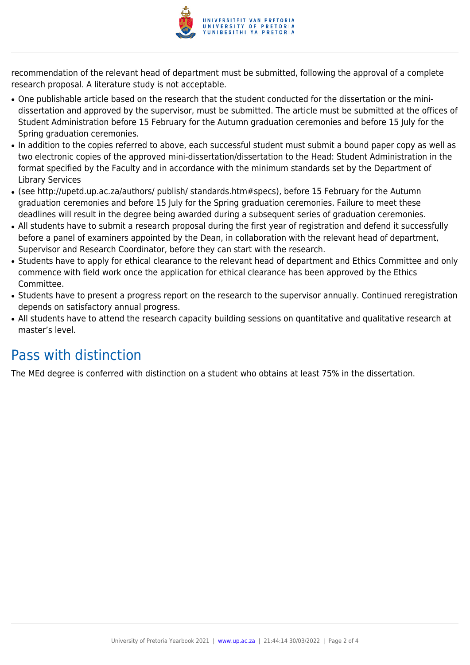

recommendation of the relevant head of department must be submitted, following the approval of a complete research proposal. A literature study is not acceptable.

- One publishable article based on the research that the student conducted for the dissertation or the minidissertation and approved by the supervisor, must be submitted. The article must be submitted at the offices of Student Administration before 15 February for the Autumn graduation ceremonies and before 15 July for the Spring graduation ceremonies.
- In addition to the copies referred to above, each successful student must submit a bound paper copy as well as two electronic copies of the approved mini-dissertation/dissertation to the Head: Student Administration in the format specified by the Faculty and in accordance with the minimum standards set by the Department of Library Services
- (see http://upetd.up.ac.za/authors/ publish/ standards.htm#specs), before 15 February for the Autumn graduation ceremonies and before 15 July for the Spring graduation ceremonies. Failure to meet these deadlines will result in the degree being awarded during a subsequent series of graduation ceremonies.
- All students have to submit a research proposal during the first year of registration and defend it successfully before a panel of examiners appointed by the Dean, in collaboration with the relevant head of department, Supervisor and Research Coordinator, before they can start with the research.
- Students have to apply for ethical clearance to the relevant head of department and Ethics Committee and only commence with field work once the application for ethical clearance has been approved by the Ethics Committee.
- Students have to present a progress report on the research to the supervisor annually. Continued reregistration depends on satisfactory annual progress.
- All students have to attend the research capacity building sessions on quantitative and qualitative research at master's level.

## Pass with distinction

The MEd degree is conferred with distinction on a student who obtains at least 75% in the dissertation.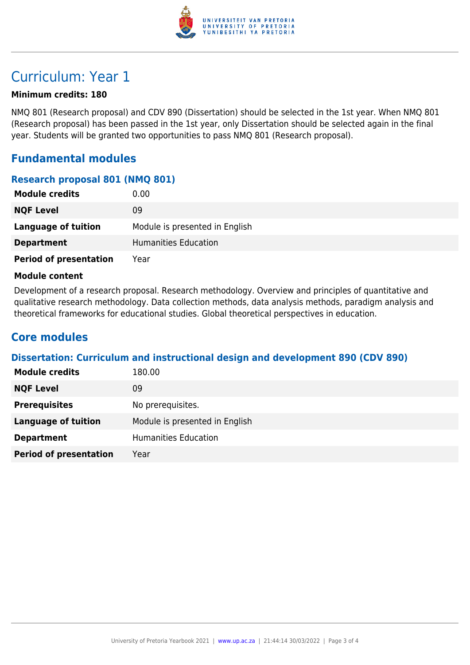

### Curriculum: Year 1

#### **Minimum credits: 180**

NMQ 801 (Research proposal) and CDV 890 (Dissertation) should be selected in the 1st year. When NMQ 801 (Research proposal) has been passed in the 1st year, only Dissertation should be selected again in the final year. Students will be granted two opportunities to pass NMQ 801 (Research proposal).

### **Fundamental modules**

#### **Research proposal 801 (NMQ 801)**

| <b>Module credits</b>         | 0.00                           |
|-------------------------------|--------------------------------|
| <b>NQF Level</b>              | 09                             |
| Language of tuition           | Module is presented in English |
| <b>Department</b>             | Humanities Education           |
| <b>Period of presentation</b> | Year                           |

#### **Module content**

Development of a research proposal. Research methodology. Overview and principles of quantitative and qualitative research methodology. Data collection methods, data analysis methods, paradigm analysis and theoretical frameworks for educational studies. Global theoretical perspectives in education.

### **Core modules**

#### **Dissertation: Curriculum and instructional design and development 890 (CDV 890)**

| <b>Module credits</b>         | 180.00                         |
|-------------------------------|--------------------------------|
| <b>NQF Level</b>              | 09                             |
| <b>Prerequisites</b>          | No prerequisites.              |
| <b>Language of tuition</b>    | Module is presented in English |
| <b>Department</b>             | <b>Humanities Education</b>    |
| <b>Period of presentation</b> | Year                           |
|                               |                                |